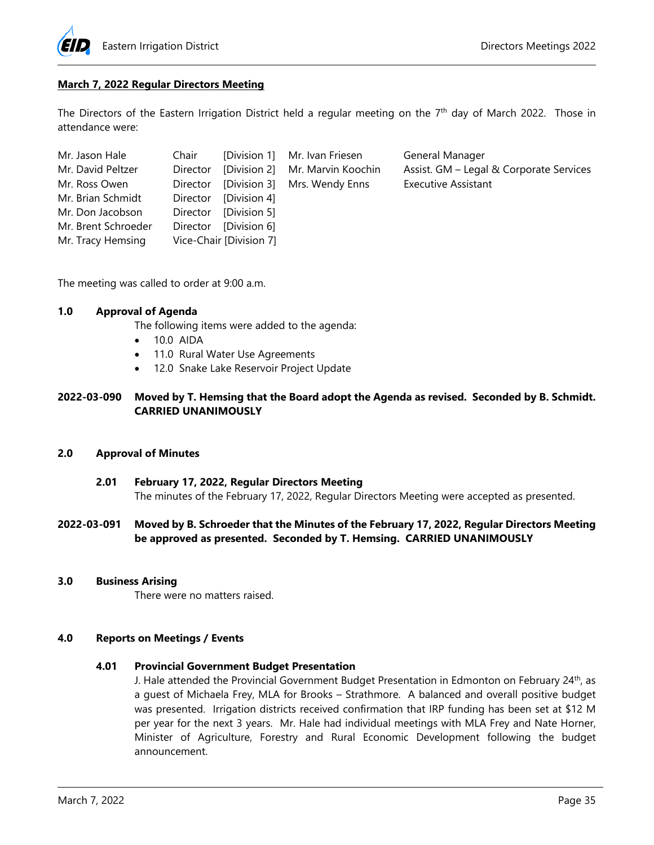

# **March 7, 2022 Regular Directors Meeting**

The Directors of the Eastern Irrigation District held a regular meeting on the  $7<sup>th</sup>$  day of March 2022. Those in attendance were:

| Mr. Jason Hale      | Chair    |                         | [Division 1] Mr. Ivan Friesen         | General Manager                         |
|---------------------|----------|-------------------------|---------------------------------------|-----------------------------------------|
| Mr. David Peltzer   | Director |                         | [Division 2] Mr. Marvin Koochin       | Assist. GM - Legal & Corporate Services |
| Mr. Ross Owen       |          |                         | Director [Division 3] Mrs. Wendy Enns | <b>Executive Assistant</b>              |
| Mr. Brian Schmidt   | Director | [Division 4]            |                                       |                                         |
| Mr. Don Jacobson    |          | Director [Division 5]   |                                       |                                         |
| Mr. Brent Schroeder | Director | [Division 6]            |                                       |                                         |
| Mr. Tracy Hemsing   |          | Vice-Chair [Division 7] |                                       |                                         |

The meeting was called to order at 9:00 a.m.

# **1.0 Approval of Agenda**

The following items were added to the agenda:

- 10.0 AIDA
- 11.0 Rural Water Use Agreements
- 12.0 Snake Lake Reservoir Project Update

# **2022-03-090 Moved by T. Hemsing that the Board adopt the Agenda as revised. Seconded by B. Schmidt. CARRIED UNANIMOUSLY**

# **2.0 Approval of Minutes**

 **2.01 February 17, 2022, Regular Directors Meeting**  The minutes of the February 17, 2022, Regular Directors Meeting were accepted as presented.

# **2022-03-091 Moved by B. Schroeder that the Minutes of the February 17, 2022, Regular Directors Meeting be approved as presented. Seconded by T. Hemsing. CARRIED UNANIMOUSLY**

**3.0 Business Arising** 

There were no matters raised.

## **4.0 Reports on Meetings / Events**

#### **4.01 Provincial Government Budget Presentation**

J. Hale attended the Provincial Government Budget Presentation in Edmonton on February 24<sup>th</sup>, as a guest of Michaela Frey, MLA for Brooks – Strathmore. A balanced and overall positive budget was presented. Irrigation districts received confirmation that IRP funding has been set at \$12 M per year for the next 3 years. Mr. Hale had individual meetings with MLA Frey and Nate Horner, Minister of Agriculture, Forestry and Rural Economic Development following the budget announcement.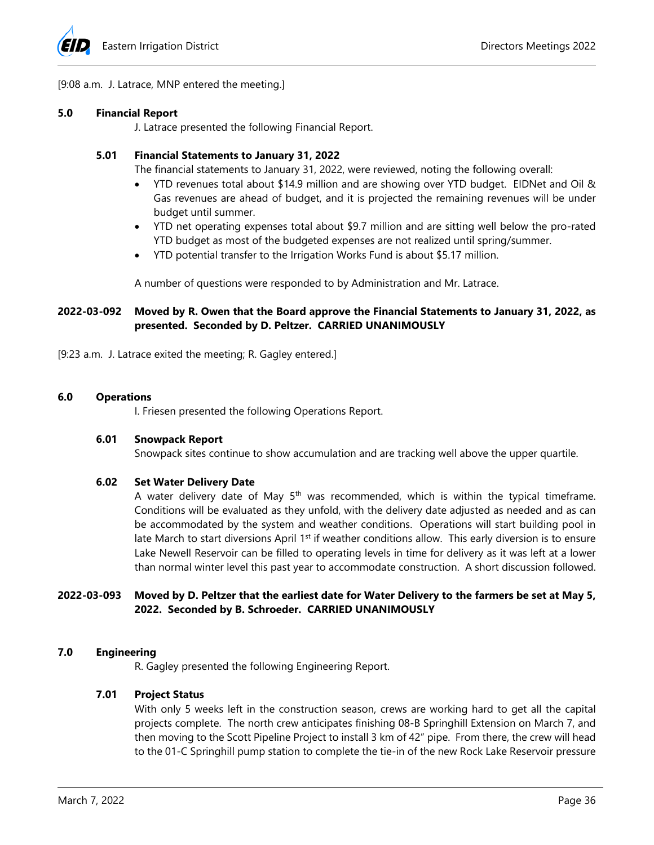

[9:08 a.m. J. Latrace, MNP entered the meeting.]

### **5.0 Financial Report**

J. Latrace presented the following Financial Report.

# **5.01 Financial Statements to January 31, 2022**

The financial statements to January 31, 2022, were reviewed, noting the following overall:

- YTD revenues total about \$14.9 million and are showing over YTD budget. EIDNet and Oil & Gas revenues are ahead of budget, and it is projected the remaining revenues will be under budget until summer.
- YTD net operating expenses total about \$9.7 million and are sitting well below the pro-rated YTD budget as most of the budgeted expenses are not realized until spring/summer.
- YTD potential transfer to the Irrigation Works Fund is about \$5.17 million.

A number of questions were responded to by Administration and Mr. Latrace.

# **2022-03-092 Moved by R. Owen that the Board approve the Financial Statements to January 31, 2022, as presented. Seconded by D. Peltzer. CARRIED UNANIMOUSLY**

[9:23 a.m. J. Latrace exited the meeting; R. Gagley entered.]

## **6.0 Operations**

I. Friesen presented the following Operations Report.

#### **6.01 Snowpack Report**

Snowpack sites continue to show accumulation and are tracking well above the upper quartile.

# **6.02 Set Water Delivery Date**

A water delivery date of May  $5<sup>th</sup>$  was recommended, which is within the typical timeframe. Conditions will be evaluated as they unfold, with the delivery date adjusted as needed and as can be accommodated by the system and weather conditions. Operations will start building pool in late March to start diversions April  $1<sup>st</sup>$  if weather conditions allow. This early diversion is to ensure Lake Newell Reservoir can be filled to operating levels in time for delivery as it was left at a lower than normal winter level this past year to accommodate construction. A short discussion followed.

# **2022-03-093 Moved by D. Peltzer that the earliest date for Water Delivery to the farmers be set at May 5, 2022. Seconded by B. Schroeder. CARRIED UNANIMOUSLY**

# **7.0 Engineering**

R. Gagley presented the following Engineering Report.

# **7.01 Project Status**

With only 5 weeks left in the construction season, crews are working hard to get all the capital projects complete. The north crew anticipates finishing 08-B Springhill Extension on March 7, and then moving to the Scott Pipeline Project to install 3 km of 42" pipe. From there, the crew will head to the 01-C Springhill pump station to complete the tie-in of the new Rock Lake Reservoir pressure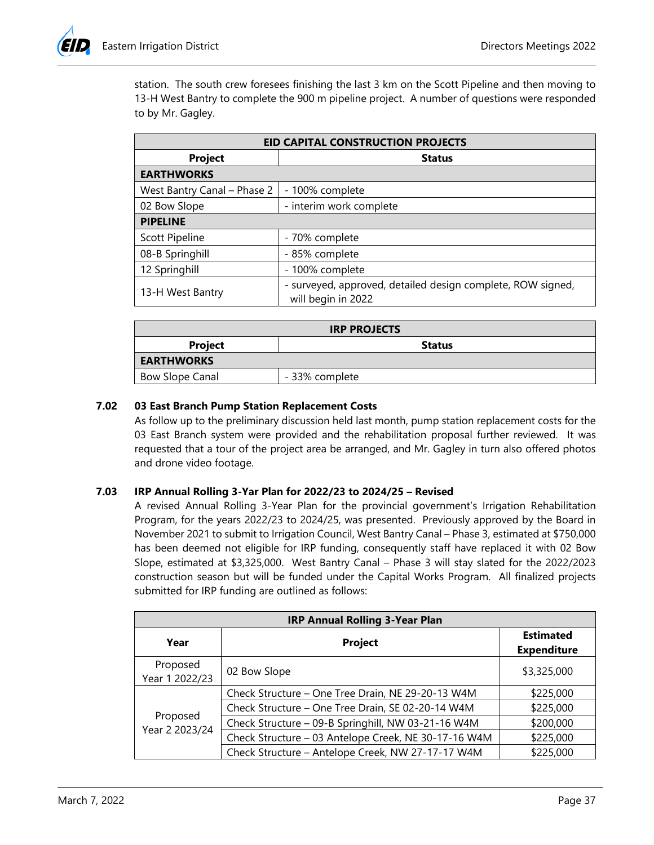station. The south crew foresees finishing the last 3 km on the Scott Pipeline and then moving to 13-H West Bantry to complete the 900 m pipeline project. A number of questions were responded to by Mr. Gagley.

| <b>EID CAPITAL CONSTRUCTION PROJECTS</b>                                                              |                         |  |  |
|-------------------------------------------------------------------------------------------------------|-------------------------|--|--|
| <b>Project</b>                                                                                        | <b>Status</b>           |  |  |
| <b>EARTHWORKS</b>                                                                                     |                         |  |  |
| West Bantry Canal - Phase 2                                                                           | - 100% complete         |  |  |
| 02 Bow Slope                                                                                          | - interim work complete |  |  |
| <b>PIPELINE</b>                                                                                       |                         |  |  |
| <b>Scott Pipeline</b>                                                                                 | - 70% complete          |  |  |
| 08-B Springhill                                                                                       | - 85% complete          |  |  |
| 12 Springhill                                                                                         | - 100% complete         |  |  |
| - surveyed, approved, detailed design complete, ROW signed,<br>13-H West Bantry<br>will begin in 2022 |                         |  |  |

| <b>IRP PROJECTS</b>             |                |  |  |
|---------------------------------|----------------|--|--|
| <b>Project</b><br><b>Status</b> |                |  |  |
| <b>EARTHWORKS</b>               |                |  |  |
| <b>Bow Slope Canal</b>          | - 33% complete |  |  |

# **7.02 03 East Branch Pump Station Replacement Costs**

As follow up to the preliminary discussion held last month, pump station replacement costs for the 03 East Branch system were provided and the rehabilitation proposal further reviewed. It was requested that a tour of the project area be arranged, and Mr. Gagley in turn also offered photos and drone video footage.

# **7.03 IRP Annual Rolling 3-Yar Plan for 2022/23 to 2024/25 – Revised**

A revised Annual Rolling 3-Year Plan for the provincial government's Irrigation Rehabilitation Program, for the years 2022/23 to 2024/25, was presented. Previously approved by the Board in November 2021 to submit to Irrigation Council, West Bantry Canal – Phase 3, estimated at \$750,000 has been deemed not eligible for IRP funding, consequently staff have replaced it with 02 Bow Slope, estimated at \$3,325,000. West Bantry Canal – Phase 3 will stay slated for the 2022/2023 construction season but will be funded under the Capital Works Program. All finalized projects submitted for IRP funding are outlined as follows:

| <b>IRP Annual Rolling 3-Year Plan</b> |                                                      |                                        |  |  |
|---------------------------------------|------------------------------------------------------|----------------------------------------|--|--|
| Year                                  | <b>Project</b>                                       | <b>Estimated</b><br><b>Expenditure</b> |  |  |
| Proposed<br>Year 1 2022/23            | 02 Bow Slope                                         | \$3,325,000                            |  |  |
| Proposed<br>Year 2 2023/24            | Check Structure - One Tree Drain, NE 29-20-13 W4M    | \$225,000                              |  |  |
|                                       | Check Structure - One Tree Drain, SE 02-20-14 W4M    | \$225,000                              |  |  |
|                                       | Check Structure - 09-B Springhill, NW 03-21-16 W4M   | \$200,000                              |  |  |
|                                       | Check Structure - 03 Antelope Creek, NE 30-17-16 W4M | \$225,000                              |  |  |
|                                       | Check Structure - Antelope Creek, NW 27-17-17 W4M    | \$225,000                              |  |  |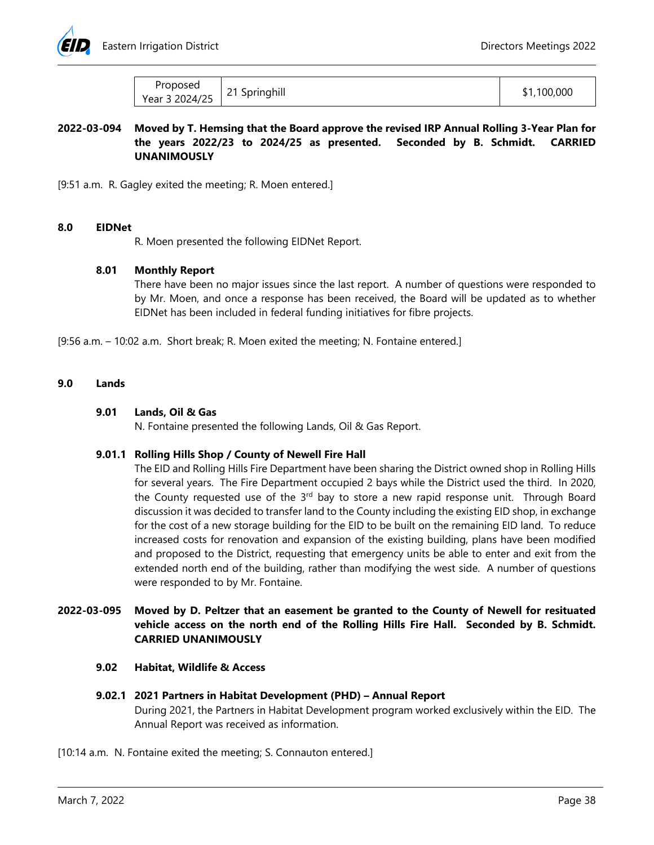

| Proposed       | Springhill<br>$\sim$ | 100,000 |
|----------------|----------------------|---------|
| Year 3 2024/25 |                      | ٦Ι,     |

# **2022-03-094 Moved by T. Hemsing that the Board approve the revised IRP Annual Rolling 3-Year Plan for the years 2022/23 to 2024/25 as presented. Seconded by B. Schmidt. CARRIED UNANIMOUSLY**

[9:51 a.m. R. Gagley exited the meeting; R. Moen entered.]

#### **8.0 EIDNet**

R. Moen presented the following EIDNet Report.

# **8.01 Monthly Report**

There have been no major issues since the last report. A number of questions were responded to by Mr. Moen, and once a response has been received, the Board will be updated as to whether EIDNet has been included in federal funding initiatives for fibre projects.

[9:56 a.m. – 10:02 a.m. Short break; R. Moen exited the meeting; N. Fontaine entered.]

## **9.0 Lands**

## **9.01 Lands, Oil & Gas**

N. Fontaine presented the following Lands, Oil & Gas Report.

# **9.01.1 Rolling Hills Shop / County of Newell Fire Hall**

The EID and Rolling Hills Fire Department have been sharing the District owned shop in Rolling Hills for several years. The Fire Department occupied 2 bays while the District used the third. In 2020, the County requested use of the 3<sup>rd</sup> bay to store a new rapid response unit. Through Board discussion it was decided to transfer land to the County including the existing EID shop, in exchange for the cost of a new storage building for the EID to be built on the remaining EID land. To reduce increased costs for renovation and expansion of the existing building, plans have been modified and proposed to the District, requesting that emergency units be able to enter and exit from the extended north end of the building, rather than modifying the west side. A number of questions were responded to by Mr. Fontaine.

# **2022-03-095 Moved by D. Peltzer that an easement be granted to the County of Newell for resituated vehicle access on the north end of the Rolling Hills Fire Hall. Seconded by B. Schmidt. CARRIED UNANIMOUSLY**

#### **9.02 Habitat, Wildlife & Access**

#### **9.02.1 2021 Partners in Habitat Development (PHD) – Annual Report**

During 2021, the Partners in Habitat Development program worked exclusively within the EID. The Annual Report was received as information.

[10:14 a.m. N. Fontaine exited the meeting; S. Connauton entered.]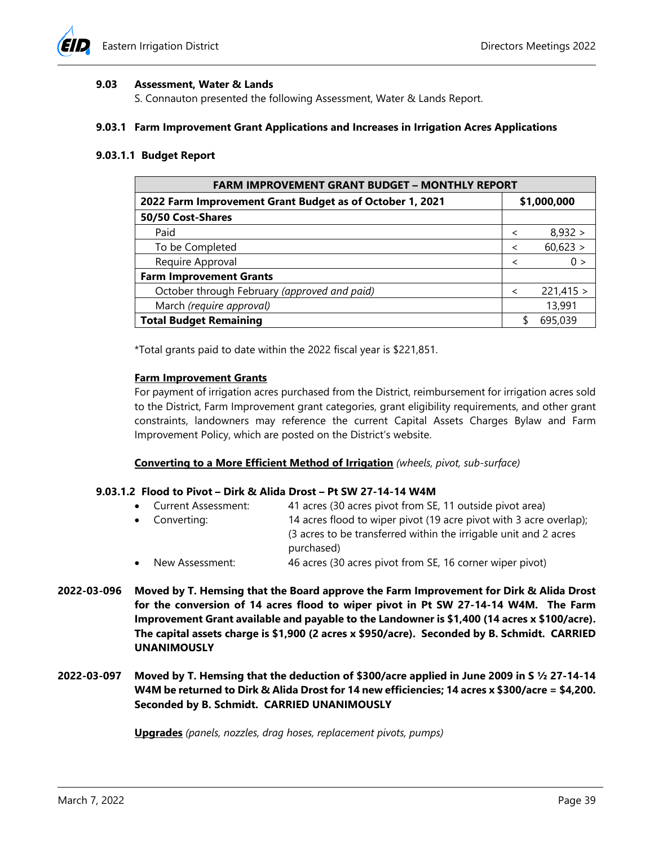

### **9.03 Assessment, Water & Lands**

S. Connauton presented the following Assessment, Water & Lands Report.

#### **9.03.1 Farm Improvement Grant Applications and Increases in Irrigation Acres Applications**

### **9.03.1.1 Budget Report**

| <b>FARM IMPROVEMENT GRANT BUDGET - MONTHLY REPORT</b>    |                          |           |  |
|----------------------------------------------------------|--------------------------|-----------|--|
| 2022 Farm Improvement Grant Budget as of October 1, 2021 | \$1,000,000              |           |  |
| 50/50 Cost-Shares                                        |                          |           |  |
| Paid                                                     | $\overline{\phantom{a}}$ | 8,932 >   |  |
| To be Completed                                          | $\prec$                  | 60,623 >  |  |
| Require Approval                                         | $\prec$                  | 0 >       |  |
| <b>Farm Improvement Grants</b>                           |                          |           |  |
| October through February (approved and paid)             | $\prec$                  | 221,415 > |  |
| March (require approval)                                 |                          | 13,991    |  |
| <b>Total Budget Remaining</b>                            |                          | 695,039   |  |

\*Total grants paid to date within the 2022 fiscal year is \$221,851.

## **Farm Improvement Grants**

For payment of irrigation acres purchased from the District, reimbursement for irrigation acres sold to the District, Farm Improvement grant categories, grant eligibility requirements, and other grant constraints, landowners may reference the current Capital Assets Charges Bylaw and Farm Improvement Policy, which are posted on the District's website.

#### **Converting to a More Efficient Method of Irrigation** *(wheels, pivot, sub-surface)*

#### **9.03.1.2 Flood to Pivot – Dirk & Alida Drost – Pt SW 27-14-14 W4M**

- Current Assessment: 41 acres (30 acres pivot from SE, 11 outside pivot area)
- Converting: 14 acres flood to wiper pivot (19 acre pivot with 3 acre overlap); (3 acres to be transferred within the irrigable unit and 2 acres purchased)
- New Assessment: 46 acres (30 acres pivot from SE, 16 corner wiper pivot)
- **2022-03-096 Moved by T. Hemsing that the Board approve the Farm Improvement for Dirk & Alida Drost for the conversion of 14 acres flood to wiper pivot in Pt SW 27-14-14 W4M. The Farm Improvement Grant available and payable to the Landowner is \$1,400 (14 acres x \$100/acre). The capital assets charge is \$1,900 (2 acres x \$950/acre). Seconded by B. Schmidt. CARRIED UNANIMOUSLY**
- **2022-03-097 Moved by T. Hemsing that the deduction of \$300/acre applied in June 2009 in S ½ 27-14-14 W4M be returned to Dirk & Alida Drost for 14 new efficiencies; 14 acres x \$300/acre = \$4,200. Seconded by B. Schmidt. CARRIED UNANIMOUSLY**

**Upgrades** *(panels, nozzles, drag hoses, replacement pivots, pumps)*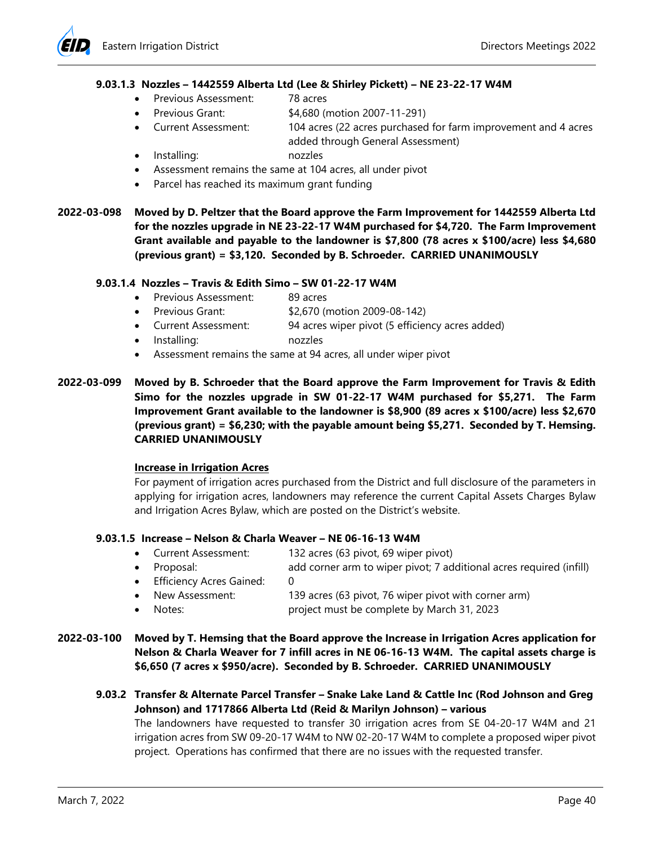# **9.03.1.3 Nozzles – 1442559 Alberta Ltd (Lee & Shirley Pickett) – NE 23-22-17 W4M**

- Previous Assessment: 78 acres
	- Previous Grant: \$4,680 (motion 2007-11-291)
- Current Assessment: 104 acres (22 acres purchased for farm improvement and 4 acres added through General Assessment)
- Installing: nozzles
- Assessment remains the same at 104 acres, all under pivot
- Parcel has reached its maximum grant funding
- **2022-03-098 Moved by D. Peltzer that the Board approve the Farm Improvement for 1442559 Alberta Ltd for the nozzles upgrade in NE 23-22-17 W4M purchased for \$4,720. The Farm Improvement Grant available and payable to the landowner is \$7,800 (78 acres x \$100/acre) less \$4,680 (previous grant) = \$3,120. Seconded by B. Schroeder. CARRIED UNANIMOUSLY**

## **9.03.1.4 Nozzles – Travis & Edith Simo – SW 01-22-17 W4M**

- Previous Assessment: 89 acres
- Previous Grant: \$2,670 (motion 2009-08-142)
- Current Assessment: 94 acres wiper pivot (5 efficiency acres added)
- Installing: nozzles
- Assessment remains the same at 94 acres, all under wiper pivot
- **2022-03-099 Moved by B. Schroeder that the Board approve the Farm Improvement for Travis & Edith Simo for the nozzles upgrade in SW 01-22-17 W4M purchased for \$5,271. The Farm Improvement Grant available to the landowner is \$8,900 (89 acres x \$100/acre) less \$2,670 (previous grant) = \$6,230; with the payable amount being \$5,271. Seconded by T. Hemsing. CARRIED UNANIMOUSLY**

#### **Increase in Irrigation Acres**

For payment of irrigation acres purchased from the District and full disclosure of the parameters in applying for irrigation acres, landowners may reference the current Capital Assets Charges Bylaw and Irrigation Acres Bylaw, which are posted on the District's website.

#### **9.03.1.5 Increase – Nelson & Charla Weaver – NE 06-16-13 W4M**

- Current Assessment: 132 acres (63 pivot, 69 wiper pivot)
- Proposal: add corner arm to wiper pivot; 7 additional acres required (infill)
- Efficiency Acres Gained: 0
- New Assessment: 139 acres (63 pivot, 76 wiper pivot with corner arm)
- Notes: project must be complete by March 31, 2023
- **2022-03-100 Moved by T. Hemsing that the Board approve the Increase in Irrigation Acres application for Nelson & Charla Weaver for 7 infill acres in NE 06-16-13 W4M. The capital assets charge is \$6,650 (7 acres x \$950/acre). Seconded by B. Schroeder. CARRIED UNANIMOUSLY** 
	- **9.03.2 Transfer & Alternate Parcel Transfer Snake Lake Land & Cattle Inc (Rod Johnson and Greg Johnson) and 1717866 Alberta Ltd (Reid & Marilyn Johnson) – various**

The landowners have requested to transfer 30 irrigation acres from SE 04-20-17 W4M and 21 irrigation acres from SW 09-20-17 W4M to NW 02-20-17 W4M to complete a proposed wiper pivot project. Operations has confirmed that there are no issues with the requested transfer.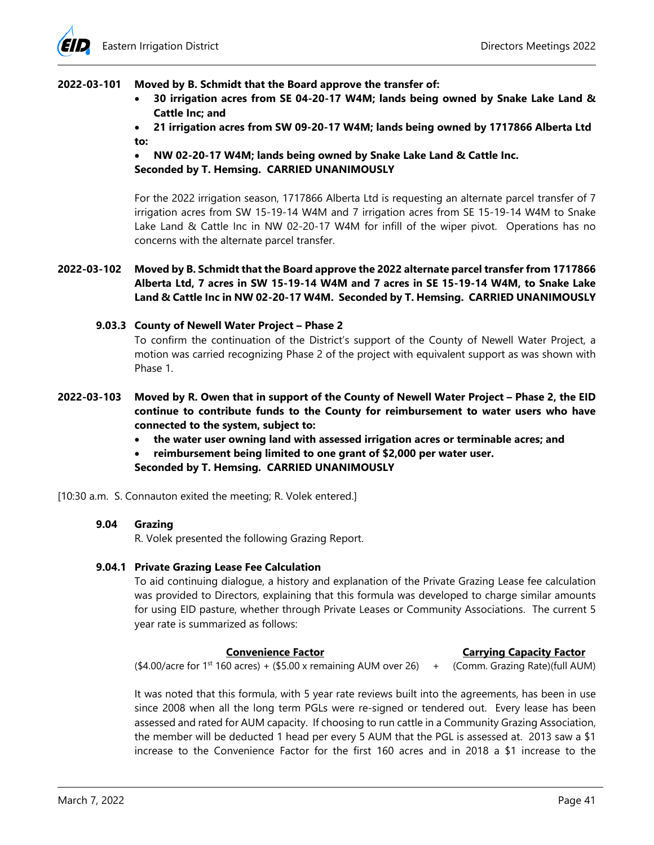# **2022-03-101 Moved by B. Schmidt that the Board approve the transfer of:**

- **30 irrigation acres from SE 04-20-17 W4M; lands being owned by Snake Lake Land & Cattle Inc; and**
- **21 irrigation acres from SW 09-20-17 W4M; lands being owned by 1717866 Alberta Ltd to:**

# **NW 02-20-17 W4M; lands being owned by Snake Lake Land & Cattle Inc. Seconded by T. Hemsing. CARRIED UNANIMOUSLY**

For the 2022 irrigation season, 1717866 Alberta Ltd is requesting an alternate parcel transfer of 7 irrigation acres from SW 15-19-14 W4M and 7 irrigation acres from SE 15-19-14 W4M to Snake Lake Land & Cattle Inc in NW 02-20-17 W4M for infill of the wiper pivot. Operations has no concerns with the alternate parcel transfer.

**2022-03-102 Moved by B. Schmidt that the Board approve the 2022 alternate parcel transfer from 1717866 Alberta Ltd, 7 acres in SW 15-19-14 W4M and 7 acres in SE 15-19-14 W4M, to Snake Lake Land & Cattle Inc in NW 02-20-17 W4M. Seconded by T. Hemsing. CARRIED UNANIMOUSLY** 

# **9.03.3 County of Newell Water Project – Phase 2**

To confirm the continuation of the District's support of the County of Newell Water Project, a motion was carried recognizing Phase 2 of the project with equivalent support as was shown with Phase 1.

- **2022-03-103 Moved by R. Owen that in support of the County of Newell Water Project Phase 2, the EID continue to contribute funds to the County for reimbursement to water users who have connected to the system, subject to:** 
	- **the water user owning land with assessed irrigation acres or terminable acres; and**
	- **reimbursement being limited to one grant of \$2,000 per water user.**

**Seconded by T. Hemsing. CARRIED UNANIMOUSLY** 

[10:30 a.m. S. Connauton exited the meeting; R. Volek entered.]

# **9.04 Grazing**

R. Volek presented the following Grazing Report.

# **9.04.1 Private Grazing Lease Fee Calculation**

To aid continuing dialogue, a history and explanation of the Private Grazing Lease fee calculation was provided to Directors, explaining that this formula was developed to charge similar amounts for using EID pasture, whether through Private Leases or Community Associations. The current 5 year rate is summarized as follows:

#### **Convenience Factor Carrying Capacity Factor**

 $($4.00/a$ cre for 1<sup>st</sup> 160 acres) +  $($5.00 x$  remaining AUM over 26) + (Comm. Grazing Rate)(full AUM)

It was noted that this formula, with 5 year rate reviews built into the agreements, has been in use since 2008 when all the long term PGLs were re-signed or tendered out. Every lease has been assessed and rated for AUM capacity. If choosing to run cattle in a Community Grazing Association, the member will be deducted 1 head per every 5 AUM that the PGL is assessed at. 2013 saw a \$1 increase to the Convenience Factor for the first 160 acres and in 2018 a \$1 increase to the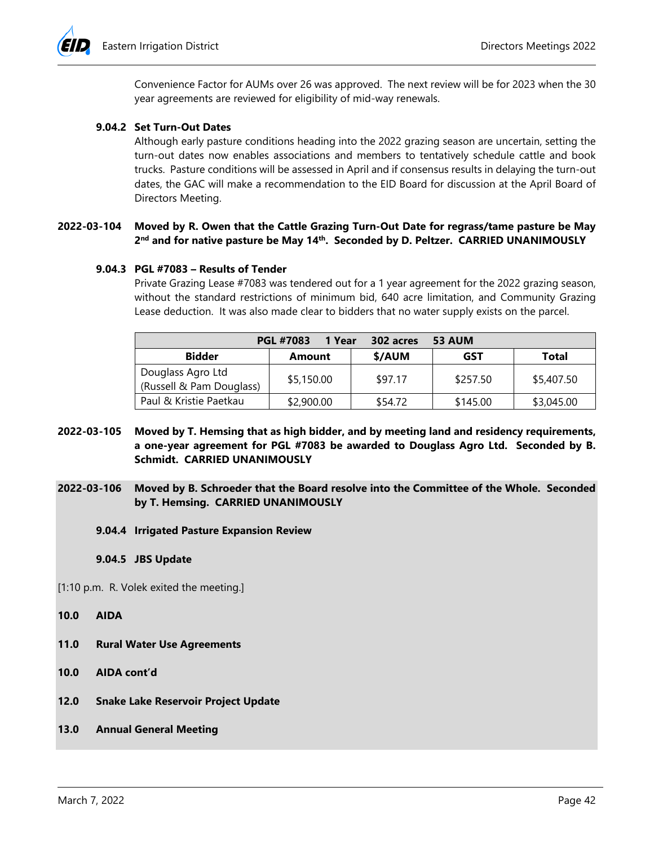

Convenience Factor for AUMs over 26 was approved. The next review will be for 2023 when the 30 year agreements are reviewed for eligibility of mid-way renewals.

## **9.04.2 Set Turn-Out Dates**

Although early pasture conditions heading into the 2022 grazing season are uncertain, setting the turn-out dates now enables associations and members to tentatively schedule cattle and book trucks. Pasture conditions will be assessed in April and if consensus results in delaying the turn-out dates, the GAC will make a recommendation to the EID Board for discussion at the April Board of Directors Meeting.

# **2022-03-104 Moved by R. Owen that the Cattle Grazing Turn-Out Date for regrass/tame pasture be May 2nd and for native pasture be May 14th. Seconded by D. Peltzer. CARRIED UNANIMOUSLY**

#### **9.04.3 PGL #7083 – Results of Tender**

Private Grazing Lease #7083 was tendered out for a 1 year agreement for the 2022 grazing season, without the standard restrictions of minimum bid, 640 acre limitation, and Community Grazing Lease deduction. It was also made clear to bidders that no water supply exists on the parcel.

| <b>PGL #7083</b><br>1 Year<br><b>53 AUM</b><br>302 acres |            |         |            |              |
|----------------------------------------------------------|------------|---------|------------|--------------|
| <b>Bidder</b>                                            | Amount     | \$/AUM  | <b>GST</b> | <b>Total</b> |
| Douglass Agro Ltd                                        | \$5,150.00 | \$97.17 | \$257.50   | \$5,407.50   |
| (Russell & Pam Douglass)                                 |            |         |            |              |
| Paul & Kristie Paetkau                                   | \$2,900.00 | \$54.72 | \$145.00   | \$3,045.00   |

- **2022-03-105 Moved by T. Hemsing that as high bidder, and by meeting land and residency requirements, a one-year agreement for PGL #7083 be awarded to Douglass Agro Ltd. Seconded by B. Schmidt. CARRIED UNANIMOUSLY**
- **2022-03-106 Moved by B. Schroeder that the Board resolve into the Committee of the Whole. Seconded by T. Hemsing. CARRIED UNANIMOUSLY** 
	- **9.04.4 Irrigated Pasture Expansion Review**

**9.04.5 JBS Update**

[1:10 p.m. R. Volek exited the meeting.]

- **10.0 AIDA**
- **11.0 Rural Water Use Agreements**
- **10.0 AIDA cont'd**
- **12.0 Snake Lake Reservoir Project Update**
- **13.0 Annual General Meeting**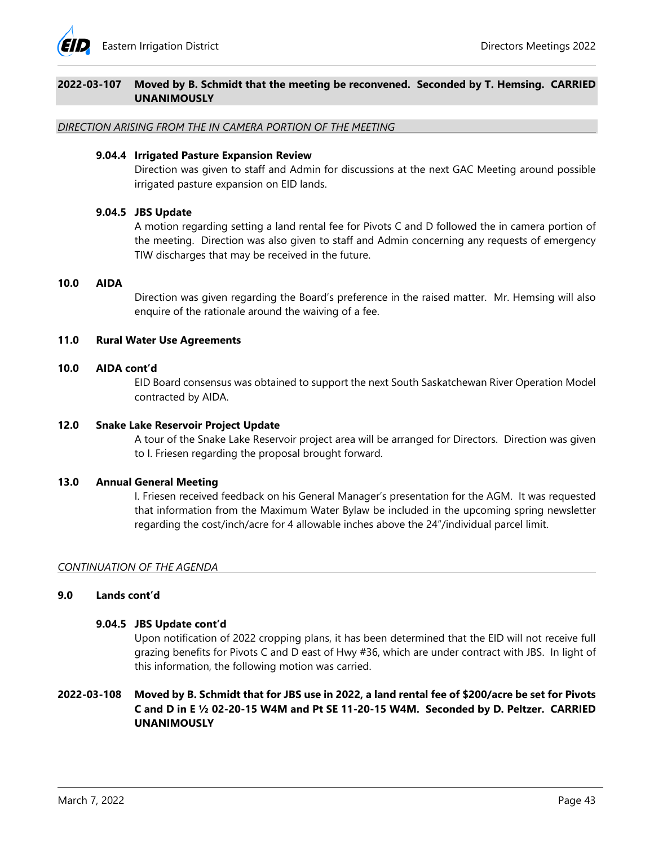

# **2022-03-107 Moved by B. Schmidt that the meeting be reconvened. Seconded by T. Hemsing. CARRIED UNANIMOUSLY**

*DIRECTION ARISING FROM THE IN CAMERA PORTION OF THE MEETING* 

### **9.04.4 Irrigated Pasture Expansion Review**

Direction was given to staff and Admin for discussions at the next GAC Meeting around possible irrigated pasture expansion on EID lands.

# **9.04.5 JBS Update**

A motion regarding setting a land rental fee for Pivots C and D followed the in camera portion of the meeting. Direction was also given to staff and Admin concerning any requests of emergency TIW discharges that may be received in the future.

#### **10.0 AIDA**

Direction was given regarding the Board's preference in the raised matter. Mr. Hemsing will also enquire of the rationale around the waiving of a fee.

## **11.0 Rural Water Use Agreements**

## **10.0 AIDA cont'd**

EID Board consensus was obtained to support the next South Saskatchewan River Operation Model contracted by AIDA.

#### **12.0 Snake Lake Reservoir Project Update**

A tour of the Snake Lake Reservoir project area will be arranged for Directors. Direction was given to I. Friesen regarding the proposal brought forward.

#### **13.0 Annual General Meeting**

I. Friesen received feedback on his General Manager's presentation for the AGM. It was requested that information from the Maximum Water Bylaw be included in the upcoming spring newsletter regarding the cost/inch/acre for 4 allowable inches above the 24"/individual parcel limit.

#### *CONTINUATION OF THE AGENDA*

# **9.0 Lands cont'd**

#### **9.04.5 JBS Update cont'd**

Upon notification of 2022 cropping plans, it has been determined that the EID will not receive full grazing benefits for Pivots C and D east of Hwy #36, which are under contract with JBS. In light of this information, the following motion was carried.

# **2022-03-108 Moved by B. Schmidt that for JBS use in 2022, a land rental fee of \$200/acre be set for Pivots C and D in E ½ 02-20-15 W4M and Pt SE 11-20-15 W4M. Seconded by D. Peltzer. CARRIED UNANIMOUSLY**